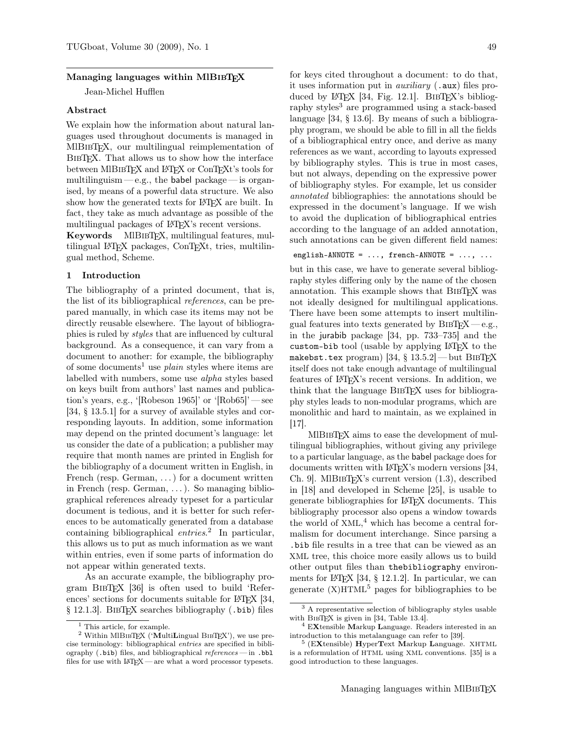# Managing languages within MIBIBTFX

Jean-Michel Hufflen

# Abstract

We explain how the information about natural languages used throughout documents is managed in MIBIBTEX, our multilingual reimplementation of BIBT<sub>EX</sub>. That allows us to show how the interface between MIBIBTFX and LATFX or ConTFXt's tools for multilinguism—e.g., the babel package— is organised, by means of a powerful data structure. We also show how the generated texts for IATEX are built. In fact, they take as much advantage as possible of the multilingual packages of LAT<sub>EX</sub>'s recent versions.

Keywords MIBIBTEX, multilingual features, multilingual LATEX packages, ConTEXt, tries, multilingual method, Scheme.

# 1 Introduction

The bibliography of a printed document, that is, the list of its bibliographical references, can be prepared manually, in which case its items may not be directly reusable elsewhere. The layout of bibliographies is ruled by styles that are influenced by cultural background. As a consequence, it can vary from a document to another: for example, the bibliography of some documents<sup>1</sup> use *plain* styles where items are labelled with numbers, some use alpha styles based on keys built from authors' last names and publication's years, e.g., '[Robeson 1965]' or '[Rob65]' — see [34, § 13.5.1] for a survey of available styles and corresponding layouts. In addition, some information may depend on the printed document's language: let us consider the date of a publication; a publisher may require that month names are printed in English for the bibliography of a document written in English, in French (resp. German, ...) for a document written in French (resp. German, . . . ). So managing bibliographical references already typeset for a particular document is tedious, and it is better for such references to be automatically generated from a database containing bibliographical entries.<sup>2</sup> In particular, this allows us to put as much information as we want within entries, even if some parts of information do not appear within generated texts.

As an accurate example, the bibliography program BibTEX [36] is often used to build 'References' sections for documents suitable for LAT<sub>EX</sub> [34, § 12.1.3]. BibTEX searches bibliography (.bib) files

for keys cited throughout a document: to do that, it uses information put in *auxiliary*  $( .aux)$  files produced by L<sup>AT</sup>EX [34, Fig. 12.1]. BIBTEX's bibliography styles<sup>3</sup> are programmed using a stack-based language [34, § 13.6]. By means of such a bibliography program, we should be able to fill in all the fields of a bibliographical entry once, and derive as many references as we want, according to layouts expressed by bibliography styles. This is true in most cases, but not always, depending on the expressive power of bibliography styles. For example, let us consider annotated bibliographies: the annotations should be expressed in the document's language. If we wish to avoid the duplication of bibliographical entries according to the language of an added annotation, such annotations can be given different field names:

# english-ANNOTE =  $\dots$ , french-ANNOTE =  $\dots$ ,  $\dots$

but in this case, we have to generate several bibliography styles differing only by the name of the chosen annotation. This example shows that BIBTEX was not ideally designed for multilingual applications. There have been some attempts to insert multilingual features into texts generated by  $BIBTEX - e.g.,$ in the jurabib package [34, pp. 733–735] and the custom-bib tool (usable by applying LATEX to the makebst.tex program)  $|34,$   $\S$   $13.5.2|$   $\rm{-}$  but BIBTEX itself does not take enough advantage of multilingual features of LATEX's recent versions. In addition, we think that the language BIBTEX uses for bibliography styles leads to non-modular programs, which are monolithic and hard to maintain, as we explained in [17].

MIBIBT<sub>EX</sub> aims to ease the development of multilingual bibliographies, without giving any privilege to a particular language, as the babel package does for documents written with LAT<sub>EX</sub>'s modern versions [34, Ch. 9. MIBIBTEX's current version  $(1.3)$ , described in [18] and developed in Scheme [25], is usable to generate bibliographies for LATEX documents. This bibliography processor also opens a window towards the world of XML, <sup>4</sup> which has become a central formalism for document interchange. Since parsing a .bib file results in a tree that can be viewed as an XML tree, this choice more easily allows us to build other output files than thebibliography environments for  $\Delta E[X]$  [34, § 12.1.2]. In particular, we can generate  $(X)$ HTML<sup>5</sup> pages for bibliographies to be

<sup>&</sup>lt;sup>1</sup> This article, for example.

 $2$  Within MlBIBTEX ('MultiLingual BIBTEX'), we use precise terminology: bibliographical entries are specified in bibliography  $(.bib)$  files, and bibliographical references — in  $.bb1$ files for use with LAT<sub>EX</sub> — are what a word processor typesets.

<sup>3</sup> A representative selection of bibliography styles usable with BIBTEX is given in [34, Table 13.4].

<sup>4</sup> EXtensible Markup Language. Readers interested in an introduction to this metalanguage can refer to [39].

<sup>5</sup> (EXtensible) HyperText Markup Language. XHTML is a reformulation of HTML using XML conventions. [35] is a good introduction to these languages.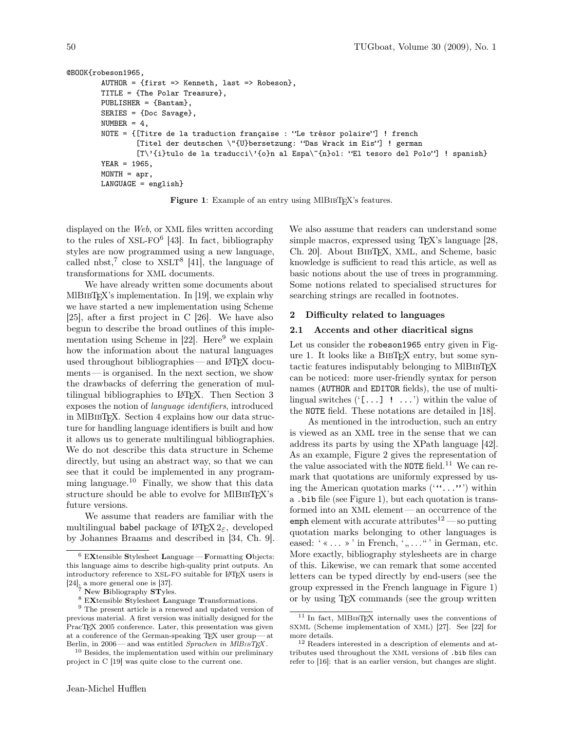```
@BOOK{robeson1965,
        AUTHOR = {first \Rightarrow Kenneth, last \Rightarrow Robeson}.TITLE = {The Polar Treasure},
        PUBLISHER = {Bantam},
        SERIES = {Doc Savage},
        NUMBER = 4,
        NOTE = {[Titre de la traduction française : "Le trésor polaire"] ! french
                 [Titel der deutschen \"{U}bersetzung: "Das Wrack im Eis"] ! german
                 [T\'{i}tulo de la traducci\'{o}n al Espa\~{n}ol: "El tesoro del Polo"] ! spanish}
        YEAR = 1965,
        MONTH = apr,LANGUAGE = english}
```
Figure 1: Example of an entry using MIBIBTEX's features.

displayed on the Web, or XML files written according to the rules of XSL-FO<sup>6</sup> [43]. In fact, bibliography styles are now programmed using a new language, called nbst,<sup>7</sup> close to  $XSLT<sup>8</sup>$  [41], the language of transformations for XML documents.

We have already written some documents about MIBIBTEX's implementation. In [19], we explain why we have started a new implementation using Scheme [25], after a first project in C [26]. We have also begun to describe the broad outlines of this implementation using Scheme in  $[22]$ . Here<sup>9</sup> we explain how the information about the natural languages used throughout bibliographies—and LAT<sub>EX</sub> documents— is organised. In the next section, we show the drawbacks of deferring the generation of multilingual bibliographies to LATEX. Then Section 3 exposes the notion of language identifiers, introduced in MlBibTEX. Section 4 explains how our data structure for handling language identifiers is built and how it allows us to generate multilingual bibliographies. We do not describe this data structure in Scheme directly, but using an abstract way, so that we can see that it could be implemented in any programming language.<sup>10</sup> Finally, we show that this data structure should be able to evolve for MIBIBTFX's future versions.

We assume that readers are familiar with the multilingual babel package of  $\mathbb{F} \to \mathbb{F} \times \mathbb{Z}$ , developed by Johannes Braams and described in [34, Ch. 9].

We also assume that readers can understand some simple macros, expressed using T<sub>F</sub>X's language [28, Ch. 20]. About BibTEX, XML, and Scheme, basic knowledge is sufficient to read this article, as well as basic notions about the use of trees in programming. Some notions related to specialised structures for searching strings are recalled in footnotes.

# 2 Difficulty related to languages

# 2.1 Accents and other diacritical signs

Let us consider the robeson1965 entry given in Figure 1. It looks like a BibTEX entry, but some syntactic features indisputably belonging to MIBIBT<sub>EX</sub> can be noticed: more user-friendly syntax for person names (AUTHOR and EDITOR fields), the use of multilingual switches  $({\text{'}}, \ldots)$  : ..., within the value of the NOTE field. These notations are detailed in [18].

As mentioned in the introduction, such an entry is viewed as an XML tree in the sense that we can address its parts by using the XPath language [42]. As an example, Figure 2 gives the representation of the value associated with the NOTE field.<sup>11</sup> We can remark that quotations are uniformly expressed by using the American quotation marks  $($ " $\ldots$ ") within a .bib file (see Figure 1), but each quotation is transformed into an XML element — an occurrence of the emph element with accurate attributes<sup>12</sup> — so putting quotation marks belonging to other languages is eased:  $' \times \ldots \times'$  in French,  $', \ldots, ''$  in German, etc. More exactly, bibliography stylesheets are in charge of this. Likewise, we can remark that some accented letters can be typed directly by end-users (see the group expressed in the French language in Figure 1) or by using TEX commands (see the group written

 $^6$  EXtensible Stylesheet Language — Formatting Objects: this language aims to describe high-quality print outputs. An introductory reference to XSL-FO suitable for LATEX users is  $[24]$ <sub>z</sub> a more general one is [37].

 $7$  New Bibliography STyles.

 $^8$  EXtensible Stylesheet Language Transformations.

<sup>9</sup> The present article is a renewed and updated version of previous material. A first version was initially designed for the PracT<sub>EX</sub> 2005 conference. Later, this presentation was given at a conference of the German-speaking TEX user group — at Berlin, in 2006 — and was entitled Sprachen in MlBIBTEX.

<sup>10</sup> Besides, the implementation used within our preliminary project in C [19] was quite close to the current one.

 $11$  In fact, MIBIBTEX internally uses the conventions of SXML (Scheme implementation of XML) [27]. See [22] for more details.

<sup>12</sup> Readers interested in a description of elements and attributes used throughout the XML versions of .bib files can refer to [16]: that is an earlier version, but changes are slight.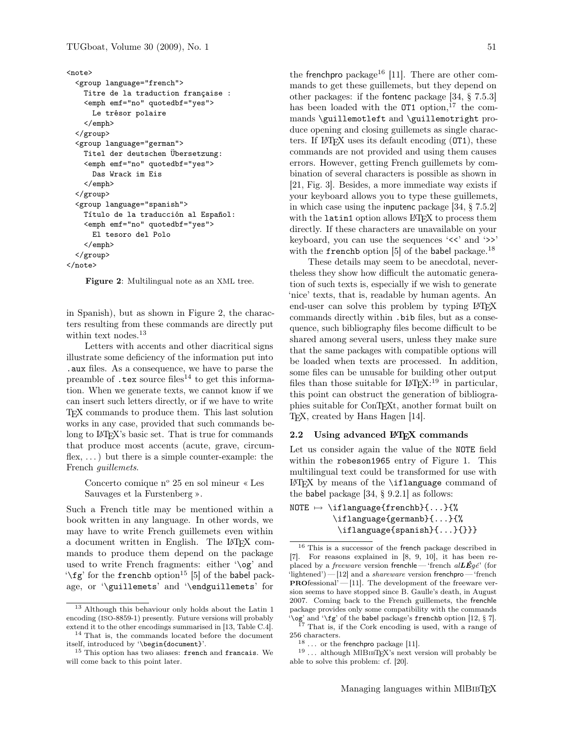#### <note>

```
<group language="french">
   Titre de la traduction française :
   <emph emf="no" quotedbf="yes">
     Le trésor polaire
    </emph>
  </group>
  <group language="german">
   Titel der deutschen Übersetzung:
    <emph emf="no" quotedbf="yes">
     Das Wrack im Eis
    </emph>
  </group>
  <group language="spanish">
   Título de la traducción al Español:
    <emph emf="no" quotedbf="yes">
     El tesoro del Polo
    </emph>
 </group>
</note>
```
Figure 2: Multilingual note as an XML tree.

in Spanish), but as shown in Figure 2, the characters resulting from these commands are directly put within text nodes.<sup>13</sup>

Letters with accents and other diacritical signs illustrate some deficiency of the information put into .aux files. As a consequence, we have to parse the preamble of  $text$  tex source files<sup>14</sup> to get this information. When we generate texts, we cannot know if we can insert such letters directly, or if we have to write TEX commands to produce them. This last solution works in any case, provided that such commands belong to LAT<sub>EX</sub>'s basic set. That is true for commands that produce most accents (acute, grave, circumflex,  $\dots$ ) but there is a simple counter-example: the French guillemets.

Concerto comique  $n^{\circ}$  25 en sol mineur « Les Sauvages et la Furstenberg ».

Such a French title may be mentioned within a book written in any language. In other words, we may have to write French guillemets even within a document written in English. The LATEX commands to produce them depend on the package used to write French fragments: either '\og' and '\fg' for the frenchb option<sup>15</sup> [5] of the babel package, or '\guillemets' and '\endguillemets' for

the frenchpro package<sup>16</sup> [11]. There are other commands to get these guillemets, but they depend on other packages: if the fontenc package [34, § 7.5.3] has been loaded with the  $\texttt{OT1}$  option,  $^{17}$  the commands \guillemotleft and \guillemotright produce opening and closing guillemets as single characters. If  $\mathbb{F}$ F<sub>F</sub>X uses its default encoding  $(0T1)$ , these commands are not provided and using them causes errors. However, getting French guillemets by combination of several characters is possible as shown in [21, Fig. 3]. Besides, a more immediate way exists if your keyboard allows you to type these guillemets, in which case using the inputenc package [34, § 7.5.2] with the latin1 option allows LAT<sub>EX</sub> to process them directly. If these characters are unavailable on your keyboard, you can use the sequences ' $\langle \cdot \rangle$  and ' $\rangle$ ' with the frenchb option [5] of the babel package.<sup>18</sup>

These details may seem to be anecdotal, nevertheless they show how difficult the automatic generation of such texts is, especially if we wish to generate 'nice' texts, that is, readable by human agents. An end-user can solve this problem by typing LAT<sub>EX</sub> commands directly within .bib files, but as a consequence, such bibliography files become difficult to be shared among several users, unless they make sure that the same packages with compatible options will be loaded when texts are processed. In addition, some files can be unusable for building other output files than those suitable for  $\mathbb{F}T\mathbb{F}X$ :<sup>19</sup> in particular, this point can obstruct the generation of bibliographies suitable for ConTEXt, another format built on T<sub>E</sub>X, created by Hans Hagen [14].

# 2.2 Using advanced IATEX commands

Let us consider again the value of the NOTE field within the robeson1965 entry of Figure 1. This multilingual text could be transformed for use with  $\LaTeX{}$  by means of the \iflanguage command of the babel package [34, § 9.2.1] as follows:

```
NOTE \mapsto \iflanguage{frenchb}{...}{%
         \iflanguage{germanb}{...}{%
          \iflanguage{spanish}{...}{}}}
```
 $^{13}$  Although this behaviour only holds about the Latin  $1\,$ encoding (ISO-8859-1) presently. Future versions will probably extend it to the other encodings summarised in [13, Table C.4].

<sup>14</sup> That is, the commands located before the document itself, introduced by '\begin{document}'.

<sup>&</sup>lt;sup>15</sup> This option has two aliases: french and francais. We will come back to this point later.

<sup>16</sup> This is a successor of the french package described in [7]. For reasons explained in [8, 9, 10], it has been replaced by a *freeware* version frenchle— 'french  $alL\vec{E}g\acute{e}$ ' (for 'lightened')  $-$  [12] and a *shareware* version frenchpro  $-$  'french PROfessional'— [11]. The development of the freeware version seems to have stopped since B. Gaulle's death, in August 2007. Coming back to the French guillemets, the frenchle package provides only some compatibility with the commands '\og' and '\fg' of the babel package's frenchb option [12, § 7].

<sup>&</sup>lt;sup>17</sup> That is, if the Cork encoding is used, with a range of 256 characters.

<sup>...</sup> or the frenchpro package [11].

 $^{19}$   $\ldots\,$  although MlBıвTEX's next version will probably be able to solve this problem: cf. [20].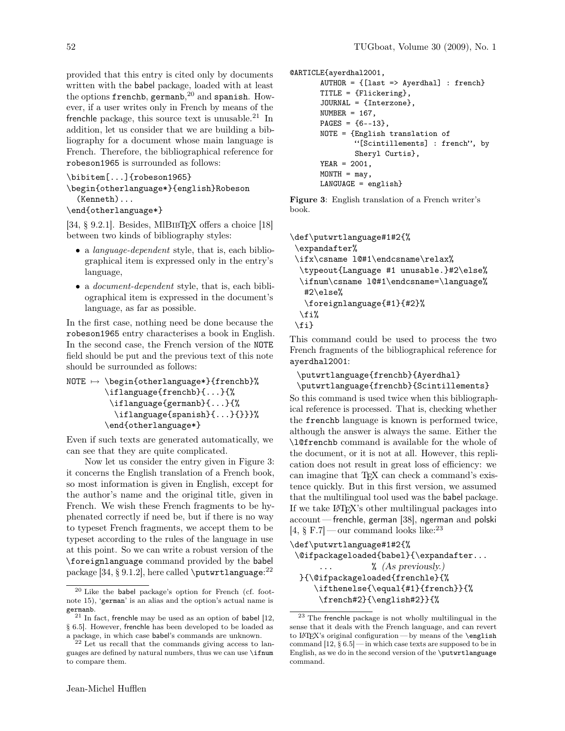provided that this entry is cited only by documents written with the babel package, loaded with at least the options frenchb, germanb, $^{20}$  and spanish. However, if a user writes only in French by means of the frenchle package, this source text is unusable. $21$  In addition, let us consider that we are building a bibliography for a document whose main language is French. Therefore, the bibliographical reference for robeson1965 is surrounded as follows:

```
\bibitem[...]{robeson1965}
```

```
\begin{otherlanguage*}{english}Robeson
  (Kenneth)...
```

```
\end{otherlanguage*}
```
[34,  $\S$  9.2.1]. Besides, MIBIBTFX offers a choice [18] between two kinds of bibliography styles:

- a *language-dependent* style, that is, each bibliographical item is expressed only in the entry's language,
- a *document-dependent* style, that is, each bibliographical item is expressed in the document's language, as far as possible.

In the first case, nothing need be done because the robeson1965 entry characterises a book in English. In the second case, the French version of the NOTE field should be put and the previous text of this note should be surrounded as follows:

```
NOTE \mapsto \begin{cases} \phi * & \text{if } \phi * \end{cases}\iflanguage{frenchb}{...}{%
          \iflanguage{germanb}{...}{%
            \iflanguage{spanish}{...}{}}}%
         \end{otherlanguage*}
```
Even if such texts are generated automatically, we can see that they are quite complicated.

Now let us consider the entry given in Figure 3: it concerns the English translation of a French book, so most information is given in English, except for the author's name and the original title, given in French. We wish these French fragments to be hyphenated correctly if need be, but if there is no way to typeset French fragments, we accept them to be typeset according to the rules of the language in use at this point. So we can write a robust version of the \foreignlanguage command provided by the babel package  $[34, \S\ 9.1.2]$ , here called **\putwrtlanguage**:  $^{22}$ 

```
@ARTICLE{ayerdhal2001,
       AUTHOR = {[last => Averdhal] : French}TITLE = {Flickering},
       JOURNAL = {Interzone},
       NUMBER = 167,
       PAGES = {6--13},
       NOTE = {English translation of
               "[Scintillements] : french", by
               Sheryl Curtis},
       YEAR = 2001,
       MONTH = may,
       LANGUAGE = english}
```
Figure 3: English translation of a French writer's book.

```
\def\putwrtlanguage#1#2{%
 \expandafter%
\ifx\csname l@#1\endcsname\relax%
  \typeout{Language #1 unusable.}#2\else%
 \ifnum\csname l@#1\endcsname=\language%
  #2\else%
  \foreignlanguage{#1}{#2}%
 \fi%
\fi}
```
This command could be used to process the two French fragments of the bibliographical reference for ayerdhal2001:

```
\putwrtlanguage{frenchb}{Ayerdhal}
\putwrtlanguage{frenchb}{Scintillements}
```
So this command is used twice when this bibliographical reference is processed. That is, checking whether the frenchb language is known is performed twice, although the answer is always the same. Either the \l@frenchb command is available for the whole of the document, or it is not at all. However, this replication does not result in great loss of efficiency: we can imagine that TEX can check a command's existence quickly. But in this first version, we assumed that the multilingual tool used was the babel package. If we take LATEX's other multilingual packages into account— frenchle, german [38], ngerman and polski  $[4, \S$  F.7 — our command looks like:  $2^3$ 

```
\def\putwrtlanguage#1#2{%
\@ifpackageloaded{babel}{\expandafter...
      ... % (As previously.)
 }{\@ifpackageloaded{frenchle}{%
    \ifthenelse{\equal{#1}{french}}{%
     \french#2}{\english#2}}{%
```
<sup>20</sup> Like the babel package's option for French (cf. footnote 15), 'german' is an alias and the option's actual name is germanb.

 $21$  In fact, frenchle may be used as an option of babel [12, § 6.5]. However, frenchle has been developed to be loaded as a package, in which case babel's commands are unknown.

 $2<sup>2</sup>$  Let us recall that the commands giving access to languages are defined by natural numbers, thus we can use \ifnum to compare them.

<sup>23</sup> The frenchle package is not wholly multilingual in the sense that it deals with the French language, and can revert to LAT<sub>E</sub>X's original configuration — by means of the  $\epsilon$ command [12, § 6.5] — in which case texts are supposed to be in English, as we do in the second version of the \putwrtlanguage command.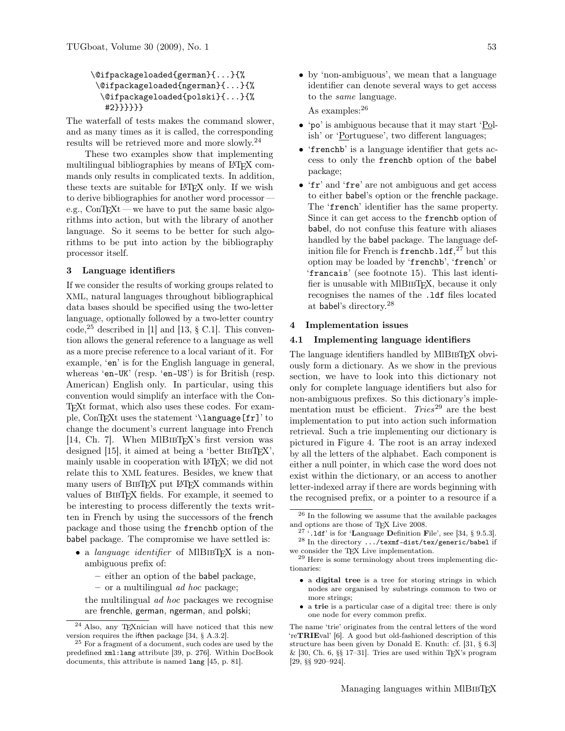```
\@ifpackageloaded{german}{...}{%
 \@ifpackageloaded{ngerman}{...}{%
  \@ifpackageloaded{polski}{...}{%
   #2}}}}}}
```
The waterfall of tests makes the command slower, and as many times as it is called, the corresponding results will be retrieved more and more slowly.<sup>24</sup>

These two examples show that implementing multilingual bibliographies by means of LAT<sub>EX</sub> commands only results in complicated texts. In addition, these texts are suitable for LATEX only. If we wish to derive bibliographies for another word processor e.g.,  $ConTr Xt$  — we have to put the same basic algorithms into action, but with the library of another language. So it seems to be better for such algorithms to be put into action by the bibliography processor itself.

#### 3 Language identifiers

If we consider the results of working groups related to XML, natural languages throughout bibliographical data bases should be specified using the two-letter language, optionally followed by a two-letter country code,<sup>25</sup> described in [1] and [13,  $\S$  C.1]. This convention allows the general reference to a language as well as a more precise reference to a local variant of it. For example, 'en' is for the English language in general, whereas 'en-UK' (resp. 'en-US') is for British (resp. American) English only. In particular, using this convention would simplify an interface with the Con-TEXt format, which also uses these codes. For example, ConTEXt uses the statement '\language[fr]' to change the document's current language into French [14, Ch. 7]. When MIBIBTFX's first version was designed [15], it aimed at being a 'better BIBT<sub>EX</sub>', mainly usable in cooperation with LATEX; we did not relate this to XML features. Besides, we knew that many users of BIBTEX put LATEX commands within values of BibTEX fields. For example, it seemed to be interesting to process differently the texts written in French by using the successors of the french package and those using the frenchb option of the babel package. The compromise we have settled is:

- a language identifier of MIBIBTEX is a nonambiguous prefix of:
	- either an option of the babel package,
	- $-$  or a multilingual *ad hoc* package;

the multilingual ad hoc packages we recognise are frenchle, german, ngerman, and polski;

• by 'non-ambiguous', we mean that a language identifier can denote several ways to get access to the same language.

As examples:<sup>26</sup>

- 'po' is ambiguous because that it may start 'Polish' or 'Portuguese', two different languages;
- 'frenchb' is a language identifier that gets access to only the frenchb option of the babel package;
- 'fr' and 'fre' are not ambiguous and get access to either babel's option or the frenchle package. The 'french' identifier has the same property. Since it can get access to the frenchb option of babel, do not confuse this feature with aliases handled by the babel package. The language definition file for French is  $\mathtt{french}$ .  $\mathtt{ldf,}^{27}$  but this option may be loaded by 'frenchb', 'french' or 'francais' (see footnote 15). This last identifier is unusable with MIBIBTEX, because it only recognises the names of the .ldf files located at babel's directory.<sup>28</sup>

#### 4 Implementation issues

# 4.1 Implementing language identifiers

The language identifiers handled by MIBIBT<sub>EX</sub> obviously form a dictionary. As we show in the previous section, we have to look into this dictionary not only for complete language identifiers but also for non-ambiguous prefixes. So this dictionary's implementation must be efficient.  $Tries^{29}$  are the best implementation to put into action such information retrieval. Such a trie implementing our dictionary is pictured in Figure 4. The root is an array indexed by all the letters of the alphabet. Each component is either a null pointer, in which case the word does not exist within the dictionary, or an access to another letter-indexed array if there are words beginning with the recognised prefix, or a pointer to a resource if a

- a digital tree is a tree for storing strings in which nodes are organised by substrings common to two or more strings;
- a trie is a particular case of a digital tree: there is only one node for every common prefix.

The name 'trie' originates from the central letters of the word 'reTRIEval' [6]. A good but old-fashioned description of this structure has been given by Donald E. Knuth: cf. [31, § 6.3]  $\&$  [30, Ch. 6, §§ 17-31]. Tries are used within TEX's program [29, §§ 920–924].

<sup>&</sup>lt;sup>24</sup> Also, any T<sub>E</sub>Xnician will have noticed that this new version requires the ifthen package [34, § A.3.2].

<sup>25</sup> For a fragment of a document, such codes are used by the predefined xml:lang attribute [39, p. 276]. Within DocBook documents, this attribute is named lang [45, p. 81].

 $^{\rm 26}$  In the following we assume that the available packages and options are those of TEX Live 2008.

<sup>&</sup>lt;sup>27</sup> '.1df' is for 'Language Definition File', see [34, § 9.5.3].  $^{28}$  In the directory  $\ldots/\texttt{tex}$  -dist/tex/generic/babel if we consider the T<sub>EX</sub> Live implementation.

 $^\mathrm{29}$  Here is some terminology about trees implementing dictionaries: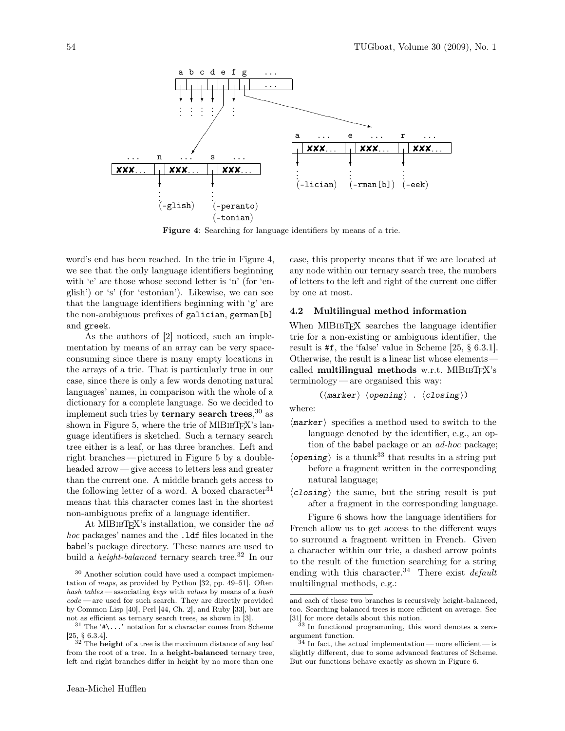

Figure 4: Searching for language identifiers by means of a trie.

word's end has been reached. In the trie in Figure 4, we see that the only language identifiers beginning with 'e' are those whose second letter is 'n' (for 'english') or 's' (for 'estonian'). Likewise, we can see that the language identifiers beginning with 'g' are the non-ambiguous prefixes of galician, german[b] and greek.

As the authors of [2] noticed, such an implementation by means of an array can be very spaceconsuming since there is many empty locations in the arrays of a trie. That is particularly true in our case, since there is only a few words denoting natural languages' names, in comparison with the whole of a dictionary for a complete language. So we decided to implement such tries by **ternary search trees**, $30$  as shown in Figure 5, where the trie of MlBIBT $FX$ 's language identifiers is sketched. Such a ternary search tree either is a leaf, or has three branches. Left and right branches— pictured in Figure 5 by a doubleheaded arrow — give access to letters less and greater than the current one. A middle branch gets access to the following letter of a word. A boxed character  $31$ means that this character comes last in the shortest non-ambiguous prefix of a language identifier.

At MIBIBTEX's installation, we consider the  $ad$ hoc packages' names and the .1df files located in the babel's package directory. These names are used to build a *height-balanced* ternary search tree.<sup>32</sup> In our

Jean-Michel Hufflen

case, this property means that if we are located at any node within our ternary search tree, the numbers of letters to the left and right of the current one differ by one at most.

### 4.2 Multilingual method information

When MIBIBT<sub>F</sub>X searches the language identifier trie for a non-existing or ambiguous identifier, the result is #f, the 'false' value in Scheme [25, § 6.3.1]. Otherwise, the result is a linear list whose elements called multilingual methods w.r.t. MIBIBT $FX$ 's terminology — are organised this way:

$$
(\langle marker\rangle\ \langle opening\rangle\ .\ \langle closing\rangle)
$$

where:

- $\langle$ marker) specifies a method used to switch to the language denoted by the identifier, e.g., an option of the babel package or an ad-hoc package;
- $\langle$  opening  $\rangle$  is a thunk<sup>33</sup> that results in a string putbefore a fragment written in the corresponding natural language;
- $\langle \textit{closing} \rangle$  the same, but the string result is put after a fragment in the corresponding language.

Figure 6 shows how the language identifiers for French allow us to get access to the different ways to surround a fragment written in French. Given a character within our trie, a dashed arrow points to the result of the function searching for a string ending with this character.<sup>34</sup> There exist  $default$ multilingual methods, e.g.:

<sup>30</sup> Another solution could have used a compact implementation of maps, as provided by Python [32, pp. 49–51]. Often hash tables — associating keys with values by means of a hash  $code$ — are used for such search. They are directly provided by Common Lisp [40], Perl [44, Ch. 2], and Ruby [33], but are not as efficient as ternary search trees, as shown in [3].

<sup>&</sup>lt;sup>31</sup> The ' $\# \backslash \ldots$ ' notation for a character comes from Scheme [25, § 6.3.4].

 $32$  The **height** of a tree is the maximum distance of any leaf from the root of a tree. In a height-balanced ternary tree, left and right branches differ in height by no more than one

and each of these two branches is recursively height-balanced, too. Searching balanced trees is more efficient on average. See [31] for more details about this notion.

<sup>33</sup> In functional programming, this word denotes a zeroargument function.

 $3<sup>4</sup>$  In fact, the actual implementation — more efficient — is slightly different, due to some advanced features of Scheme. But our functions behave exactly as shown in Figure 6.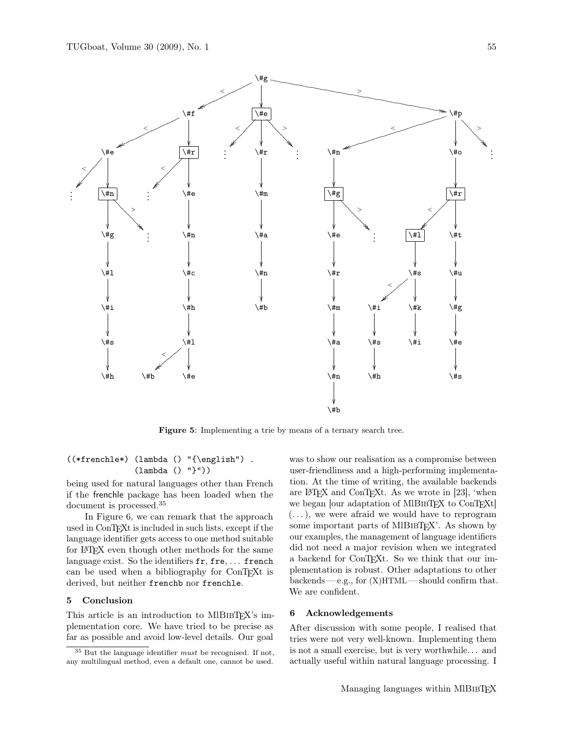

Figure 5: Implementing a trie by means of a ternary search tree.

# ((\*frenchle\*) (lambda () "{\english") . (lambda () "}"))

being used for natural languages other than French if the frenchle package has been loaded when the document is processed.<sup>35</sup>

In Figure 6, we can remark that the approach used in ConTEXt is included in such lists, except if the language identifier gets access to one method suitable for LATEX even though other methods for the same language exist. So the identifiers  $fr, fre, \ldots$  french can be used when a bibliography for ConTEXt is derived, but neither frenchb nor frenchle.

# 5 Conclusion

This article is an introduction to MIBIBTEX's implementation core. We have tried to be precise as far as possible and avoid low-level details. Our goal

was to show our realisation as a compromise between user-friendliness and a high-performing implementation. At the time of writing, the available backends are LATEX and ConTEXt. As we wrote in [23], 'when we began [our adaptation of MIBIBTEX to ConTEXt]  $(...),$  we were afraid we would have to reprogram some important parts of MIBIBTEX'. As shown by our examples, the management of language identifiers did not need a major revision when we integrated a backend for ConTEXt. So we think that our implementation is robust. Other adaptations to other  $backends - e.g., for (X) HTML - should confirm that.$ We are confident.

# 6 Acknowledgements

After discussion with some people, I realised that tries were not very well-known. Implementing them is not a small exercise, but is very worthwhile. . . and actually useful within natural language processing. I

 $^{35}$  But the language identifier  ${\it must}$  be recognised. If not, any multilingual method, even a default one, cannot be used.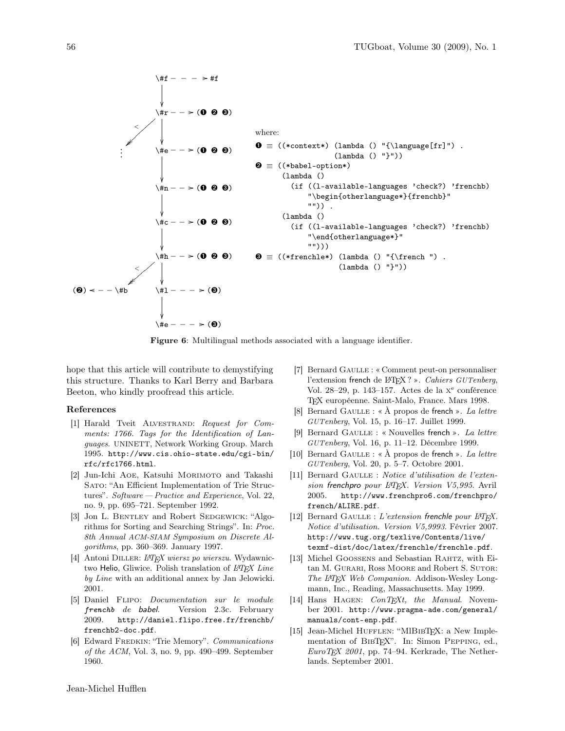

Figure 6: Multilingual methods associated with a language identifier.

hope that this article will contribute to demystifying this structure. Thanks to Karl Berry and Barbara Beeton, who kindly proofread this article.

# References

- [1] Harald Tveit ALVESTRAND: Request for Comments: 1766. Tags for the Identification of Languages. UNINETT, Network Working Group. March 1995. http://www.cis.ohio-state.edu/cgi-bin/ rfc/rfc1766.html.
- [2] Jun-Ichi Aoe, Katsuhi Morimoto and Takashi Sato: "An Efficient Implementation of Trie Structures". Software — Practice and Experience, Vol. 22, no. 9, pp. 695–721. September 1992.
- [3] Jon L. BENTLEY and Robert SEDGEWICK: "Algorithms for Sorting and Searching Strings". In: Proc. 8th Annual ACM-SIAM Symposium on Discrete Algorithms, pp. 360–369. January 1997.
- [4] Antoni DILLER: L<sup>AT</sup>FX wiersz po wierszu. Wydawnictwo Helio, Gliwice. Polish translation of  $\cancel{ETPX}$  Line by Line with an additional annex by Jan Jelowicki. 2001.
- [5] Daniel Flipo: Documentation sur le module frenchb de babel. Version 2.3c. February 2009. http://daniel.flipo.free.fr/frenchb/ frenchb2-doc.pdf.
- [6] Edward FREDKIN: "Trie Memory". Communications of the ACM, Vol. 3, no. 9, pp. 490–499. September 1960.
- [7] Bernard Gaulle : « Comment peut-on personnaliser l'extension french de L<sup>A</sup>TEX ? ». Cahiers GUTenberg, Vol. 28–29, p. 143–157. Actes de la x <sup>e</sup> conférence TEX européenne. Saint-Malo, France. Mars 1998.
- [8] Bernard GAULLE : «  $\hat{A}$  propos de french ». La lettre GUTenberg, Vol. 15, p. 16–17. Juillet 1999.
- [9] Bernard GAULLE : « Nouvelles french ». La lettre GUTenberg, Vol. 16, p. 11–12. Décembre 1999.
- [10] Bernard GAULLE : «  $\hat{A}$  propos de french ». La lettre GUTenberg, Vol. 20, p. 5–7. Octobre 2001.
- [11] Bernard GAULLE : Notice d'utilisation de l'extension frenchpro pour L<sup>AT</sup>FX. Version V5,995. Avril 2005. http://www.frenchpro6.com/frenchpro/ french/ALIRE.pdf.
- [12] Bernard GAULLE : L'extension frenchle pour  $\cancel{B}$ TFX. Notice d'utilisation. Version V5,9993. Février 2007. http://www.tug.org/texlive/Contents/live/ texmf-dist/doc/latex/frenchle/frenchle.pdf.
- [13] Michel Goossens and Sebastian Rahtz, with Eitan M. GURARI, Ross MOORE and Robert S. SUTOR: The L<sup>AT</sup>EX Web Companion. Addison-Wesley Longmann, Inc., Reading, Massachusetts. May 1999.
- [14] Hans HAGEN:  $ConT_F Xt$ , the Manual. November 2001. http://www.pragma-ade.com/general/ manuals/cont-enp.pdf.
- [15] Jean-Michel HUFFLEN: "MlBIBTEX: a New Implementation of BIBTEX". In: Simon PEPPING, ed., EuroTEX 2001, pp. 74–94. Kerkrade, The Netherlands. September 2001.